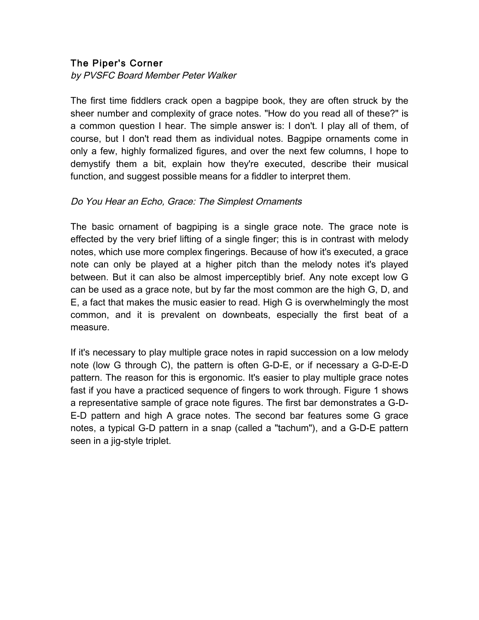# The Piper's Corner

by PVSFC Board Member Peter Walker

The first time fiddlers crack open a bagpipe book, they are often struck by the sheer number and complexity of grace notes. "How do you read all of these?" is a common question I hear. The simple answer is: I don't. I play all of them, of course, but I don't read them as individual notes. Bagpipe ornaments come in only a few, highly formalized figures, and over the next few columns, I hope to demystify them a bit, explain how they're executed, describe their musical function, and suggest possible means for a fiddler to interpret them.

## Do You Hear an Echo, Grace: The Simplest Ornaments

The basic ornament of bagpiping is a single grace note. The grace note is effected by the very brief lifting of a single finger; this is in contrast with melody notes, which use more complex fingerings. Because of how it's executed, a grace note can only be played at a higher pitch than the melody notes it's played between. But it can also be almost imperceptibly brief. Any note except low G can be used as a grace note, but by far the most common are the high G, D, and E, a fact that makes the music easier to read. High G is overwhelmingly the most common, and it is prevalent on downbeats, especially the first beat of a measure.

If it's necessary to play multiple grace notes in rapid succession on a low melody note (low G through C), the pattern is often G-D-E, or if necessary a G-D-E-D pattern. The reason for this is ergonomic. It's easier to play multiple grace notes fast if you have a practiced sequence of fingers to work through. Figure 1 shows a representative sample of grace note figures. The first bar demonstrates a G-D-E-D pattern and high A grace notes. The second bar features some G grace notes, a typical G-D pattern in a snap (called a "tachum"), and a G-D-E pattern seen in a jig-style triplet.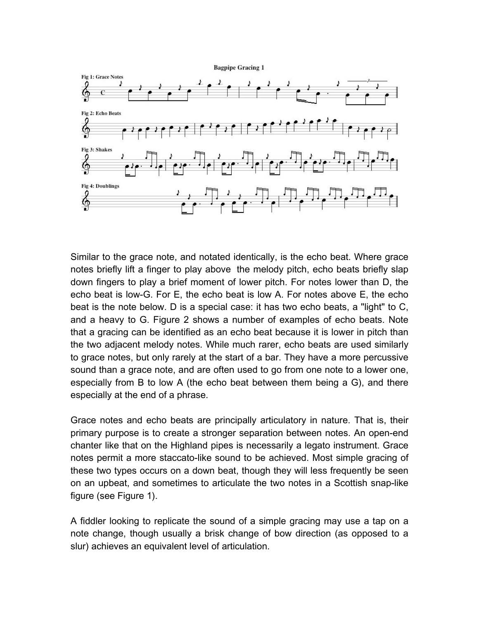**Bagpipe Gracing 1** 



Similar to the grace note, and notated identically, is the echo beat. Where grace notes briefly lift a finger to play above the melody pitch, echo beats briefly slap down fingers to play a brief moment of lower pitch. For notes lower than D, the echo beat is low-G. For E, the echo beat is low A. For notes above E, the echo beat is the note below. D is a special case: it has two echo beats, a "light" to C, and a heavy to G. Figure 2 shows a number of examples of echo beats. Note that a gracing can be identified as an echo beat because it is lower in pitch than the two adjacent melody notes. While much rarer, echo beats are used similarly to grace notes, but only rarely at the start of a bar. They have a more percussive sound than a grace note, and are often used to go from one note to a lower one, especially from B to low A (the echo beat between them being a G), and there especially at the end of a phrase.

Grace notes and echo beats are principally articulatory in nature. That is, their primary purpose is to create a stronger separation between notes. An open-end chanter like that on the Highland pipes is necessarily a legato instrument. Grace notes permit a more staccato-like sound to be achieved. Most simple gracing of these two types occurs on a down beat, though they will less frequently be seen on an upbeat, and sometimes to articulate the two notes in a Scottish snap-like figure (see Figure 1).

A fiddler looking to replicate the sound of a simple gracing may use a tap on a note change, though usually a brisk change of bow direction (as opposed to a slur) achieves an equivalent level of articulation.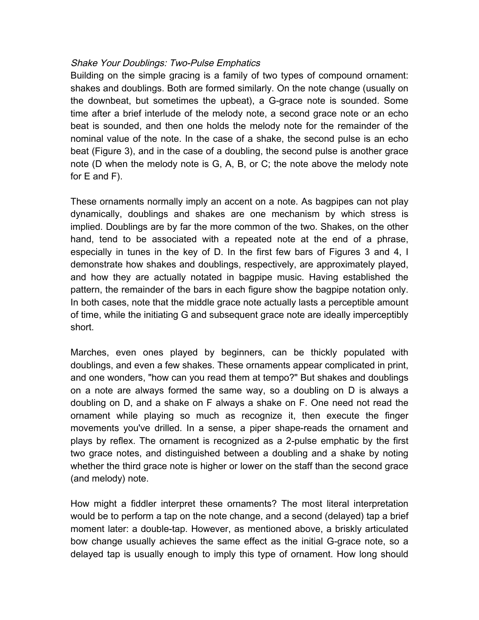## Shake Your Doublings: Two-Pulse Emphatics

Building on the simple gracing is a family of two types of compound ornament: shakes and doublings. Both are formed similarly. On the note change (usually on the downbeat, but sometimes the upbeat), a G-grace note is sounded. Some time after a brief interlude of the melody note, a second grace note or an echo beat is sounded, and then one holds the melody note for the remainder of the nominal value of the note. In the case of a shake, the second pulse is an echo beat (Figure 3), and in the case of a doubling, the second pulse is another grace note (D when the melody note is G, A, B, or C; the note above the melody note for E and F).

These ornaments normally imply an accent on a note. As bagpipes can not play dynamically, doublings and shakes are one mechanism by which stress is implied. Doublings are by far the more common of the two. Shakes, on the other hand, tend to be associated with a repeated note at the end of a phrase, especially in tunes in the key of D. In the first few bars of Figures 3 and 4, I demonstrate how shakes and doublings, respectively, are approximately played, and how they are actually notated in bagpipe music. Having established the pattern, the remainder of the bars in each figure show the bagpipe notation only. In both cases, note that the middle grace note actually lasts a perceptible amount of time, while the initiating G and subsequent grace note are ideally imperceptibly short.

Marches, even ones played by beginners, can be thickly populated with doublings, and even a few shakes. These ornaments appear complicated in print, and one wonders, "how can you read them at tempo?" But shakes and doublings on a note are always formed the same way, so a doubling on D is always a doubling on D, and a shake on F always a shake on F. One need not read the ornament while playing so much as recognize it, then execute the finger movements you've drilled. In a sense, a piper shape-reads the ornament and plays by reflex. The ornament is recognized as a 2-pulse emphatic by the first two grace notes, and distinguished between a doubling and a shake by noting whether the third grace note is higher or lower on the staff than the second grace (and melody) note.

How might a fiddler interpret these ornaments? The most literal interpretation would be to perform a tap on the note change, and a second (delayed) tap a brief moment later: a double-tap. However, as mentioned above, a briskly articulated bow change usually achieves the same effect as the initial G-grace note, so a delayed tap is usually enough to imply this type of ornament. How long should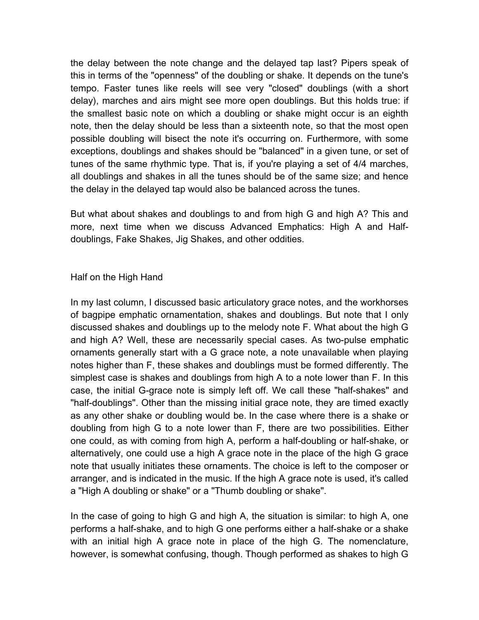the delay between the note change and the delayed tap last? Pipers speak of this in terms of the "openness" of the doubling or shake. It depends on the tune's tempo. Faster tunes like reels will see very "closed" doublings (with a short delay), marches and airs might see more open doublings. But this holds true: if the smallest basic note on which a doubling or shake might occur is an eighth note, then the delay should be less than a sixteenth note, so that the most open possible doubling will bisect the note it's occurring on. Furthermore, with some exceptions, doublings and shakes should be "balanced" in a given tune, or set of tunes of the same rhythmic type. That is, if you're playing a set of 4/4 marches, all doublings and shakes in all the tunes should be of the same size; and hence the delay in the delayed tap would also be balanced across the tunes.

But what about shakes and doublings to and from high G and high A? This and more, next time when we discuss Advanced Emphatics: High A and Halfdoublings, Fake Shakes, Jig Shakes, and other oddities.

#### Half on the High Hand

In my last column, I discussed basic articulatory grace notes, and the workhorses of bagpipe emphatic ornamentation, shakes and doublings. But note that I only discussed shakes and doublings up to the melody note F. What about the high G and high A? Well, these are necessarily special cases. As two-pulse emphatic ornaments generally start with a G grace note, a note unavailable when playing notes higher than F, these shakes and doublings must be formed differently. The simplest case is shakes and doublings from high A to a note lower than F. In this case, the initial G-grace note is simply left off. We call these "half-shakes" and "half-doublings". Other than the missing initial grace note, they are timed exactly as any other shake or doubling would be. In the case where there is a shake or doubling from high G to a note lower than F, there are two possibilities. Either one could, as with coming from high A, perform a half-doubling or half-shake, or alternatively, one could use a high A grace note in the place of the high G grace note that usually initiates these ornaments. The choice is left to the composer or arranger, and is indicated in the music. If the high A grace note is used, it's called a "High A doubling or shake" or a "Thumb doubling or shake".

In the case of going to high G and high A, the situation is similar: to high A, one performs a half-shake, and to high G one performs either a half-shake or a shake with an initial high A grace note in place of the high G. The nomenclature, however, is somewhat confusing, though. Though performed as shakes to high G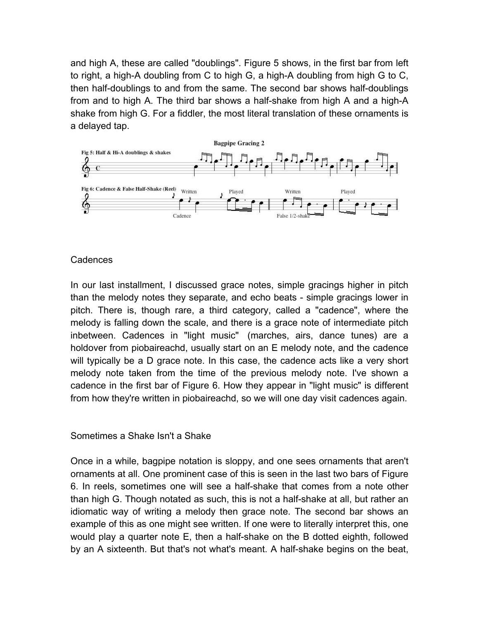and high A, these are called "doublings". Figure 5 shows, in the first bar from left to right, a high-A doubling from C to high G, a high-A doubling from high G to C, then half-doublings to and from the same. The second bar shows half-doublings from and to high A. The third bar shows a half-shake from high A and a high-A shake from high G. For a fiddler, the most literal translation of these ornaments is a delayed tap.



#### **Cadences**

In our last installment, I discussed grace notes, simple gracings higher in pitch than the melody notes they separate, and echo beats - simple gracings lower in pitch. There is, though rare, a third category, called a "cadence", where the melody is falling down the scale, and there is a grace note of intermediate pitch inbetween. Cadences in "light music" (marches, airs, dance tunes) are a holdover from piobaireachd, usually start on an E melody note, and the cadence will typically be a D grace note. In this case, the cadence acts like a very short melody note taken from the time of the previous melody note. I've shown a cadence in the first bar of Figure 6. How they appear in "light music" is different from how they're written in piobaireachd, so we will one day visit cadences again.

### Sometimes a Shake Isn't a Shake

Once in a while, bagpipe notation is sloppy, and one sees ornaments that aren't ornaments at all. One prominent case of this is seen in the last two bars of Figure 6. In reels, sometimes one will see a half-shake that comes from a note other than high G. Though notated as such, this is not a half-shake at all, but rather an idiomatic way of writing a melody then grace note. The second bar shows an example of this as one might see written. If one were to literally interpret this, one would play a quarter note E, then a half-shake on the B dotted eighth, followed by an A sixteenth. But that's not what's meant. A half-shake begins on the beat,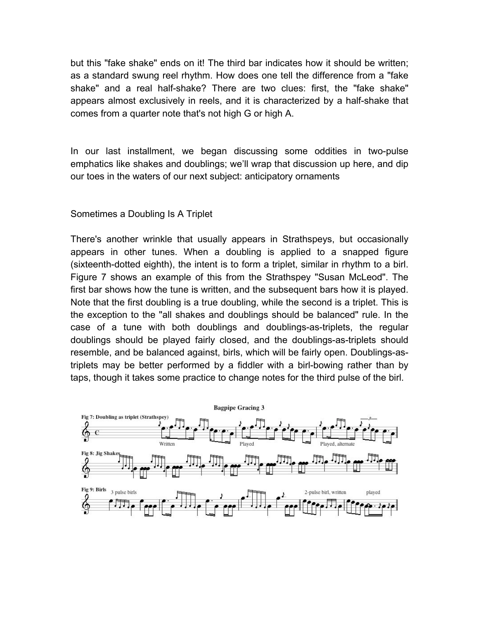but this "fake shake" ends on it! The third bar indicates how it should be written; as a standard swung reel rhythm. How does one tell the difference from a "fake shake" and a real half-shake? There are two clues: first, the "fake shake" appears almost exclusively in reels, and it is characterized by a half-shake that comes from a quarter note that's not high G or high A.

In our last installment, we began discussing some oddities in two-pulse emphatics like shakes and doublings; we'll wrap that discussion up here, and dip our toes in the waters of our next subject: anticipatory ornaments

### Sometimes a Doubling Is A Triplet

There's another wrinkle that usually appears in Strathspeys, but occasionally appears in other tunes. When a doubling is applied to a snapped figure (sixteenth-dotted eighth), the intent is to form a triplet, similar in rhythm to a birl. Figure 7 shows an example of this from the Strathspey "Susan McLeod". The first bar shows how the tune is written, and the subsequent bars how it is played. Note that the first doubling is a true doubling, while the second is a triplet. This is the exception to the "all shakes and doublings should be balanced" rule. In the case of a tune with both doublings and doublings-as-triplets, the regular doublings should be played fairly closed, and the doublings-as-triplets should resemble, and be balanced against, birls, which will be fairly open. Doublings-astriplets may be better performed by a fiddler with a birl-bowing rather than by taps, though it takes some practice to change notes for the third pulse of the birl.